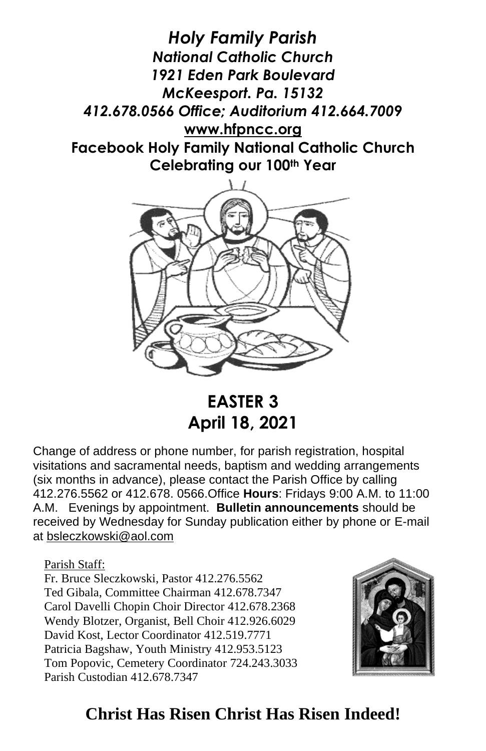



**EASTER 3 April 18, 2021**

Change of address or phone number, for parish registration, hospital visitations and sacramental needs, baptism and wedding arrangements (six months in advance), please contact the Parish Office by calling 412.276.5562 or 412.678. 0566.Office **Hours**: Fridays 9:00 A.M. to 11:00 A.M. Evenings by appointment. **Bulletin announcements** should be received by Wednesday for Sunday publication either by phone or E-mail at [bsleczkowski@aol.com](mailto:bsleczkowski@aol.com)

Parish Staff:

Fr. Bruce Sleczkowski, Pastor 412.276.5562 Ted Gibala, Committee Chairman 412.678.7347 Carol Davelli Chopin Choir Director 412.678.2368 Wendy Blotzer, Organist, Bell Choir 412.926.6029 David Kost, Lector Coordinator 412.519.7771 Patricia Bagshaw, Youth Ministry 412.953.5123 Tom Popovic, Cemetery Coordinator 724.243.3033 Parish Custodian 412.678.7347



## **Christ Has Risen Christ Has Risen Indeed!**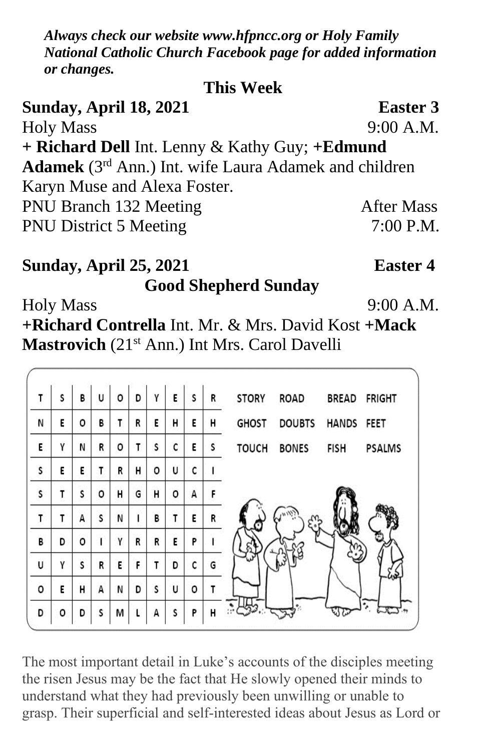*Always check our website www.hfpncc.org or Holy Family National Catholic Church Facebook page for added information or changes.*

|  | <b>This Week</b> |
|--|------------------|
|--|------------------|

**Sunday, April 18, 2021 Easter 3** Holy Mass 9:00 A.M. **+ Richard Dell** Int. Lenny & Kathy Guy; **+Edmund Adamek** (3rd Ann.) Int. wife Laura Adamek and children Karyn Muse and Alexa Foster. PNU Branch 132 Meeting After Mass PNU District 5 Meeting 7:00 P.M.

## **Sunday, April 25, 2021 Easter 4 Good Shepherd Sunday**

Holy Mass 9:00 A.M. **+Richard Contrella** Int. Mr. & Mrs. David Kost **+Mack Mastrovich** (21<sup>st</sup> Ann.) Int Mrs. Carol Davelli

| T  | S | В | U | o  | D | γ  | E | S | R | <b>STORY</b> | ROAD          | BREAD        | <b>FRIGHT</b> |
|----|---|---|---|----|---|----|---|---|---|--------------|---------------|--------------|---------------|
| N  | Ε | o | в | T. | R | E  | н | Ε | н | <b>GHOST</b> | <b>DOUBTS</b> | <b>HANDS</b> | FEET          |
| E, | γ | N | R | ٥  | т | s  | c | Ε | s | <b>TOUCH</b> | <b>BONES</b>  | <b>FISH</b>  | <b>PSALMS</b> |
| s  | Ε | Ε | т | R  | н | ٥  | U | c |   |              |               |              |               |
| s  | т | s | ٥ | н  | G | н  | ٥ | А | F |              |               |              |               |
| T  |   | А | s | N  |   | В  | т | Ε | R |              |               |              |               |
| В  | D | o | T | γ  | R | R  | Ε | P |   |              |               |              |               |
| Ü  | γ | s | R | E  | F | T. | D | c | G |              |               |              |               |
| o  | Ε | н | A | N  | D | s  | U | ٥ | T |              |               |              |               |
| D  | ٥ | D | s | м  |   | А  | s | P | н |              |               |              |               |

The most important detail in Luke's accounts of the disciples meeting the risen Jesus may be the fact that He slowly opened their minds to understand what they had previously been unwilling or unable to grasp. Their superficial and self-interested ideas about Jesus as Lord or